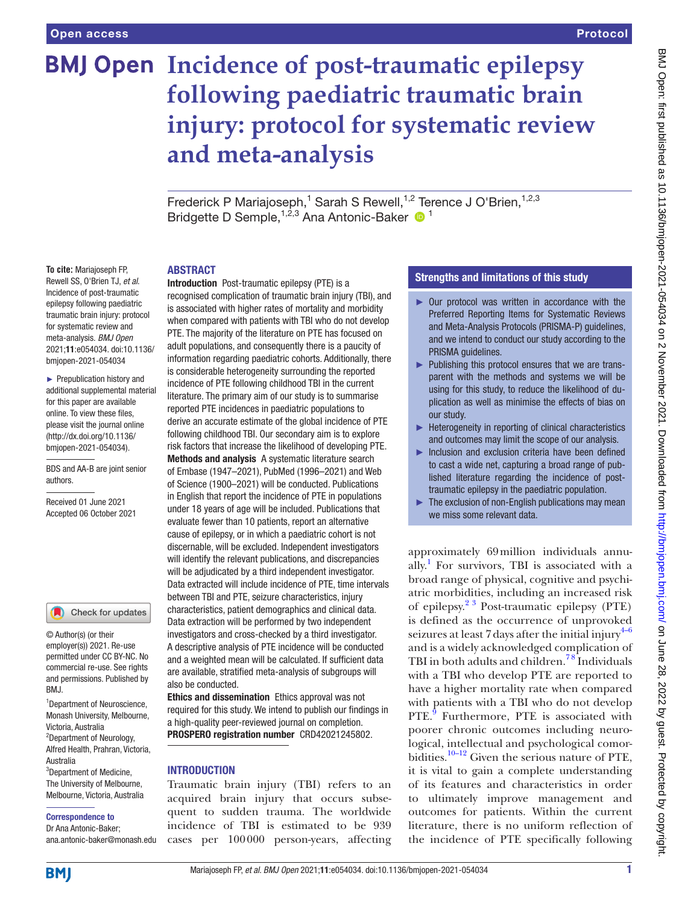# **BMJ Open Incidence of post-traumatic epilepsy following paediatric traumatic brain injury: protocol for systematic review and meta-analysis**

Frederick P Mariajoseph,<sup>1</sup> Sarah S Rewell,<sup>1,2</sup> Terence J O'Brien,<sup>1,2,3</sup> Bridgette D Semple, <sup>1,2,3</sup> Ana Antonic-Baker <sup>1</sup>

## ABSTRACT

**To cite:** Mariajoseph FP, Rewell SS, O'Brien TJ, *et al*. Incidence of post-traumatic epilepsy following paediatric traumatic brain injury: protocol for systematic review and meta-analysis. *BMJ Open* 2021;11:e054034. doi:10.1136/ bmjopen-2021-054034

► Prepublication history and additional supplemental material for this paper are available online. To view these files, please visit the journal online [\(http://dx.doi.org/10.1136/](http://dx.doi.org/10.1136/bmjopen-2021-054034) [bmjopen-2021-054034](http://dx.doi.org/10.1136/bmjopen-2021-054034)).

BDS and AA-B are joint senior authors.

Received 01 June 2021 Accepted 06 October 2021

#### Check for updates

© Author(s) (or their employer(s)) 2021. Re-use permitted under CC BY-NC. No commercial re-use. See rights and permissions. Published by BMJ.

1 Department of Neuroscience, Monash University, Melbourne, Victoria, Australia <sup>2</sup>Department of Neurology, Alfred Health, Prahran, Victoria, Australia <sup>3</sup>Department of Medicine, The University of Melbourne, Melbourne, Victoria, Australia

#### Correspondence to

Dr Ana Antonic-Baker; ana.antonic-baker@monash.edu Introduction Post-traumatic epilepsy (PTE) is a recognised complication of traumatic brain injury (TBI), and is associated with higher rates of mortality and morbidity when compared with patients with TBI who do not develop PTE. The majority of the literature on PTE has focused on adult populations, and consequently there is a paucity of information regarding paediatric cohorts. Additionally, there is considerable heterogeneity surrounding the reported incidence of PTE following childhood TBI in the current literature. The primary aim of our study is to summarise reported PTE incidences in paediatric populations to derive an accurate estimate of the global incidence of PTE following childhood TBI. Our secondary aim is to explore risk factors that increase the likelihood of developing PTE. Methods and analysis A systematic literature search of Embase (1947–2021), PubMed (1996–2021) and Web of Science (1900–2021) will be conducted. Publications in English that report the incidence of PTE in populations under 18 years of age will be included. Publications that evaluate fewer than 10 patients, report an alternative cause of epilepsy, or in which a paediatric cohort is not discernable, will be excluded. Independent investigators will identify the relevant publications, and discrepancies will be adjudicated by a third independent investigator. Data extracted will include incidence of PTE, time intervals between TBI and PTE, seizure characteristics, injury characteristics, patient demographics and clinical data. Data extraction will be performed by two independent investigators and cross-checked by a third investigator. A descriptive analysis of PTE incidence will be conducted and a weighted mean will be calculated. If sufficient data are available, stratified meta-analysis of subgroups will also be conducted.

Ethics and dissemination Ethics approval was not required for this study. We intend to publish our findings in a high-quality peer-reviewed journal on completion. PROSPERO registration number CRD42021245802.

# **INTRODUCTION**

Traumatic brain injury (TBI) refers to an acquired brain injury that occurs subsequent to sudden trauma. The worldwide incidence of TBI is estimated to be 939 cases per 100000 person-years, affecting

## Strengths and limitations of this study

- ► Our protocol was written in accordance with the Preferred Reporting Items for Systematic Reviews and Meta-Analysis Protocols (PRISMA-P) guidelines, and we intend to conduct our study according to the PRISMA guidelines.
- ► Publishing this protocol ensures that we are transparent with the methods and systems we will be using for this study, to reduce the likelihood of duplication as well as minimise the effects of bias on our study.
- ► Heterogeneity in reporting of clinical characteristics and outcomes may limit the scope of our analysis.
- ► Inclusion and exclusion criteria have been defined to cast a wide net, capturing a broad range of published literature regarding the incidence of posttraumatic epilepsy in the paediatric population.
- $\blacktriangleright$  The exclusion of non-English publications may mean we miss some relevant data.

approximately 69million individuals annu-ally.<sup>[1](#page-3-0)</sup> For survivors, TBI is associated with a broad range of physical, cognitive and psychiatric morbidities, including an increased risk of epilepsy.[2 3](#page-3-1) Post-traumatic epilepsy (PTE) is defined as the occurrence of unprovoked seizures at least 7 days after the initial injury $4-6$ and is a widely acknowledged complication of TBI in both adults and children.<sup>78</sup> Individuals with a TBI who develop PTE are reported to have a higher mortality rate when compared with patients with a TBI who do not develop PTE.<sup>[9](#page-3-4)</sup> Furthermore, PTE is associated with poorer chronic outcomes including neurological, intellectual and psychological comorbidities.<sup>10–12</sup> Given the serious nature of PTE, it is vital to gain a complete understanding of its features and characteristics in order to ultimately improve management and outcomes for patients. Within the current literature, there is no uniform reflection of the incidence of PTE specifically following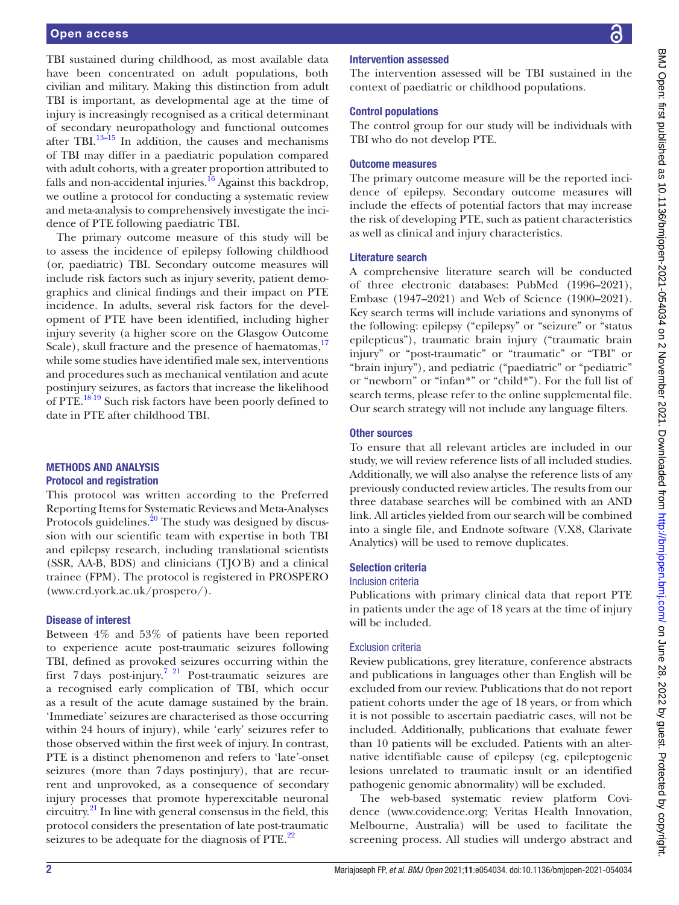#### Open access

TBI sustained during childhood, as most available data have been concentrated on adult populations, both civilian and military. Making this distinction from adult TBI is important, as developmental age at the time of injury is increasingly recognised as a critical determinant of secondary neuropathology and functional outcomes after TBI[.13–15](#page-3-6) In addition, the causes and mechanisms of TBI may differ in a paediatric population compared with adult cohorts, with a greater proportion attributed to falls and non-accidental injuries. $^{16}$  Against this backdrop, we outline a protocol for conducting a systematic review and meta-analysis to comprehensively investigate the incidence of PTE following paediatric TBI.

The primary outcome measure of this study will be to assess the incidence of epilepsy following childhood (or, paediatric) TBI. Secondary outcome measures will include risk factors such as injury severity, patient demographics and clinical findings and their impact on PTE incidence. In adults, several risk factors for the development of PTE have been identified, including higher injury severity (a higher score on the Glasgow Outcome Scale), skull fracture and the presence of haematomas,<sup>[17](#page-3-8)</sup> while some studies have identified male sex, interventions and procedures such as mechanical ventilation and acute postinjury seizures, as factors that increase the likelihood of PTE.<sup>18'19</sup> Such risk factors have been poorly defined to date in PTE after childhood TBI.

## METHODS AND ANALYSIS Protocol and registration

This protocol was written according to the Preferred Reporting Items for Systematic Reviews and Meta-Analyses Protocols guidelines. $2^0$  The study was designed by discussion with our scientific team with expertise in both TBI and epilepsy research, including translational scientists (SSR, AA-B, BDS) and clinicians (TJO'B) and a clinical trainee (FPM). The protocol is registered in PROSPERO ([www.crd.york.ac.uk/prospero/\)](www.crd.york.ac.uk/prospero/).

## Disease of interest

Between 4% and 53% of patients have been reported to experience acute post-traumatic seizures following TBI, defined as provoked seizures occurring within the first 7days post-injury.[7 21](#page-3-3) Post-traumatic seizures are a recognised early complication of TBI, which occur as a result of the acute damage sustained by the brain. 'Immediate' seizures are characterised as those occurring within 24 hours of injury), while 'early' seizures refer to those observed within the first week of injury. In contrast, PTE is a distinct phenomenon and refers to 'late'-onset seizures (more than 7days postinjury), that are recurrent and unprovoked, as a consequence of secondary injury processes that promote hyperexcitable neuronal circuitry. $^{21}$  In line with general consensus in the field, this protocol considers the presentation of late post-traumatic seizures to be adequate for the diagnosis of PTE.<sup>[22](#page-3-12)</sup>

# Intervention assessed

The intervention assessed will be TBI sustained in the context of paediatric or childhood populations.

## Control populations

The control group for our study will be individuals with TBI who do not develop PTE.

## Outcome measures

The primary outcome measure will be the reported incidence of epilepsy. Secondary outcome measures will include the effects of potential factors that may increase the risk of developing PTE, such as patient characteristics as well as clinical and injury characteristics.

#### Literature search

A comprehensive literature search will be conducted of three electronic databases: PubMed (1996–2021), Embase (1947–2021) and Web of Science (1900–2021). Key search terms will include variations and synonyms of the following: epilepsy ("epilepsy" or "seizure" or "status epilepticus"), traumatic brain injury ("traumatic brain injury" or "post-traumatic" or "traumatic" or "TBI" or "brain injury"), and pediatric ("paediatric" or "pediatric" or "newborn" or "infan\*" or "child\*"). For the full list of search terms, please refer to the [online supplemental file](https://dx.doi.org/10.1136/bmjopen-2021-054034). Our search strategy will not include any language filters.

## Other sources

To ensure that all relevant articles are included in our study, we will review reference lists of all included studies. Additionally, we will also analyse the reference lists of any previously conducted review articles. The results from our three database searches will be combined with an AND link. All articles yielded from our search will be combined into a single file, and Endnote software (V.X8, Clarivate Analytics) will be used to remove duplicates.

# Selection criteria

## Inclusion criteria

Publications with primary clinical data that report PTE in patients under the age of 18 years at the time of injury will be included.

## Exclusion criteria

Review publications, grey literature, conference abstracts and publications in languages other than English will be excluded from our review. Publications that do not report patient cohorts under the age of 18 years, or from which it is not possible to ascertain paediatric cases, will not be included. Additionally, publications that evaluate fewer than 10 patients will be excluded. Patients with an alternative identifiable cause of epilepsy (eg, epileptogenic lesions unrelated to traumatic insult or an identified pathogenic genomic abnormality) will be excluded.

The web-based systematic review platform Covidence [\(www.covidence.org;](www.covidence.org) Veritas Health Innovation, Melbourne, Australia) will be used to facilitate the screening process. All studies will undergo abstract and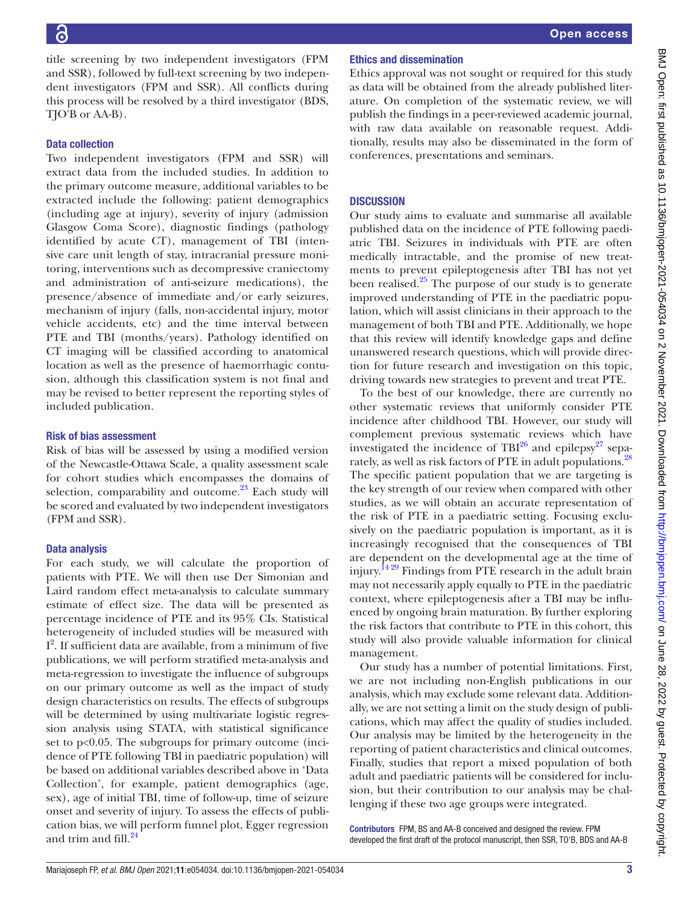title screening by two independent investigators (FPM and SSR), followed by full-text screening by two independent investigators (FPM and SSR). All conflicts during this process will be resolved by a third investigator (BDS, TJO'B or AA-B).

# Data collection

Two independent investigators (FPM and SSR) will extract data from the included studies. In addition to the primary outcome measure, additional variables to be extracted include the following: patient demographics (including age at injury), severity of injury (admission Glasgow Coma Score), diagnostic findings (pathology identified by acute CT), management of TBI (intensive care unit length of stay, intracranial pressure monitoring, interventions such as decompressive craniectomy and administration of anti-seizure medications), the presence/absence of immediate and/or early seizures, mechanism of injury (falls, non-accidental injury, motor vehicle accidents, etc) and the time interval between PTE and TBI (months/years). Pathology identified on CT imaging will be classified according to anatomical location as well as the presence of haemorrhagic contusion, although this classification system is not final and may be revised to better represent the reporting styles of included publication.

## Risk of bias assessment

Risk of bias will be assessed by using a modified version of the Newcastle-Ottawa Scale*,* a quality assessment scale for cohort studies which encompasses the domains of selection, comparability and outcome. $^{23}$  Each study will be scored and evaluated by two independent investigators (FPM and SSR).

## Data analysis

For each study, we will calculate the proportion of patients with PTE. We will then use Der Simonian and Laird random effect meta-analysis to calculate summary estimate of effect size. The data will be presented as percentage incidence of PTE and its 95% CIs. Statistical heterogeneity of included studies will be measured with I 2 . If sufficient data are available, from a minimum of five publications, we will perform stratified meta-analysis and meta-regression to investigate the influence of subgroups on our primary outcome as well as the impact of study design characteristics on results. The effects of subgroups will be determined by using multivariate logistic regression analysis using STATA, with statistical significance set to p<0.05. The subgroups for primary outcome (incidence of PTE following TBI in paediatric population) will be based on additional variables described above in 'Data Collection', for example, patient demographics (age, sex), age of initial TBI, time of follow-up, time of seizure onset and severity of injury. To assess the effects of publication bias, we will perform funnel plot, Egger regression and trim and fill. $^{24}$  $^{24}$  $^{24}$ 

# Ethics and dissemination

Ethics approval was not sought or required for this study as data will be obtained from the already published literature. On completion of the systematic review, we will publish the findings in a peer-reviewed academic journal, with raw data available on reasonable request. Additionally, results may also be disseminated in the form of conferences, presentations and seminars.

## **DISCUSSION**

Our study aims to evaluate and summarise all available published data on the incidence of PTE following paediatric TBI. Seizures in individuals with PTE are often medically intractable, and the promise of new treatments to prevent epileptogenesis after TBI has not yet been realised. $25$  The purpose of our study is to generate improved understanding of PTE in the paediatric population, which will assist clinicians in their approach to the management of both TBI and PTE. Additionally, we hope that this review will identify knowledge gaps and define unanswered research questions, which will provide direction for future research and investigation on this topic, driving towards new strategies to prevent and treat PTE.

To the best of our knowledge, there are currently no other systematic reviews that uniformly consider PTE incidence after childhood TBI. However, our study will complement previous systematic reviews which have investigated the incidence of  $TBI^{26}$  $TBI^{26}$  $TBI^{26}$  and epilepsy<sup>27</sup> separately, as well as risk factors of PTE in adult populations.[28](#page-3-18) The specific patient population that we are targeting is the key strength of our review when compared with other studies, as we will obtain an accurate representation of the risk of PTE in a paediatric setting. Focusing exclusively on the paediatric population is important, as it is increasingly recognised that the consequences of TBI are dependent on the developmental age at the time of injury.[14 29](#page-3-19) Findings from PTE research in the adult brain may not necessarily apply equally to PTE in the paediatric context, where epileptogenesis after a TBI may be influenced by ongoing brain maturation. By further exploring the risk factors that contribute to PTE in this cohort, this study will also provide valuable information for clinical management.

Our study has a number of potential limitations. First, we are not including non-English publications in our analysis, which may exclude some relevant data. Additionally, we are not setting a limit on the study design of publications, which may affect the quality of studies included. Our analysis may be limited by the heterogeneity in the reporting of patient characteristics and clinical outcomes. Finally, studies that report a mixed population of both adult and paediatric patients will be considered for inclusion, but their contribution to our analysis may be challenging if these two age groups were integrated.

Contributors FPM, BS and AA-B conceived and designed the review. FPM developed the first draft of the protocol manuscript, then SSR, TO'B, BDS and AA-B